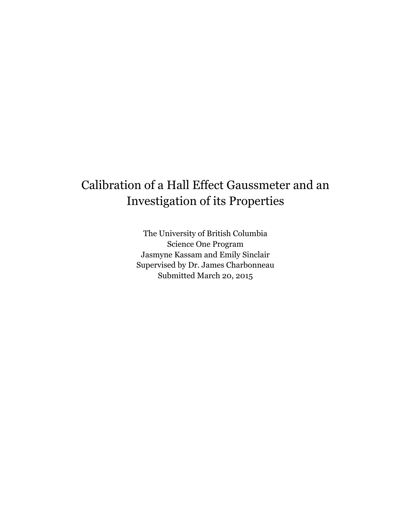# Calibration of a Hall Effect Gaussmeter and an Investigation of its Properties

The University of British Columbia Science One Program Jasmyne Kassam and Emily Sinclair Supervised by Dr. James Charbonneau Submitted March 20, 2015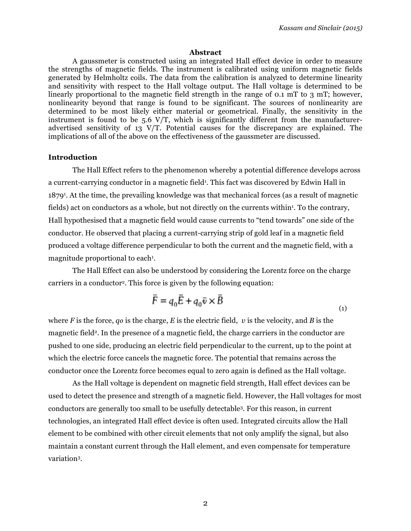#### **Abstract**

A gaussmeter is constructed using an integrated Hall effect device in order to measure the strengths of magnetic fields. The instrument is calibrated using uniform magnetic fields generated by Helmholtz coils. The data from the calibration is analyzed to determine linearity and sensitivity with respect to the Hall voltage output. The Hall voltage is determined to be linearly proportional to the magnetic field strength in the range of 0.1 mT to 3 mT; however, nonlinearity beyond that range is found to be significant. The sources of nonlinearity are determined to be most likely either material or geometrical. Finally, the sensitivity in the instrument is found to be 5.6 V/T, which is significantly different from the manufactureradvertised sensitivity of 13 V/T. Potential causes for the discrepancy are explained. The implications of all of the above on the effectiveness of the gaussmeter are discussed.

#### **Introduction**

The Hall Effect refers to the phenomenon whereby a potential difference develops across a current-carrying conductor in a magnetic field<sup>1</sup>. This fact was discovered by Edwin Hall in 18791 . At the time, the prevailing knowledge was that mechanical forces (as a result of magnetic fields) act on conductors as a whole, but not directly on the currents within<sup>1</sup>. To the contrary, Hall hypothesised that a magnetic field would cause currents to "tend towards" one side of the conductor. He observed that placing a current-carrying strip of gold leaf in a magnetic field produced a voltage difference perpendicular to both the current and the magnetic field, with a magnitude proportional to each<sup>1</sup>.

The Hall Effect can also be understood by considering the Lorentz force on the charge carriers in a conductor2. This force is given by the following equation:

$$
\vec{F} = q_0 \vec{E} + q_0 \vec{v} \times \vec{B}
$$
 (1)

where *F* is the force, *q*<sup> $o$ </sup> is the charge, *E* is the electric field, *v* is the velocity, and *B* is the magnetic field2. In the presence of a magnetic field, the charge carriers in the conductor are pushed to one side, producing an electric field perpendicular to the current, up to the point at which the electric force cancels the magnetic force. The potential that remains across the conductor once the Lorentz force becomes equal to zero again is defined as the Hall voltage.

As the Hall voltage is dependent on magnetic field strength, Hall effect devices can be used to detect the presence and strength of a magnetic field. However, the Hall voltages for most conductors are generally too small to be usefully detectable3. For this reason, in current technologies, an integrated Hall effect device is often used. Integrated circuits allow the Hall element to be combined with other circuit elements that not only amplify the signal, but also maintain a constant current through the Hall element, and even compensate for temperature variation3.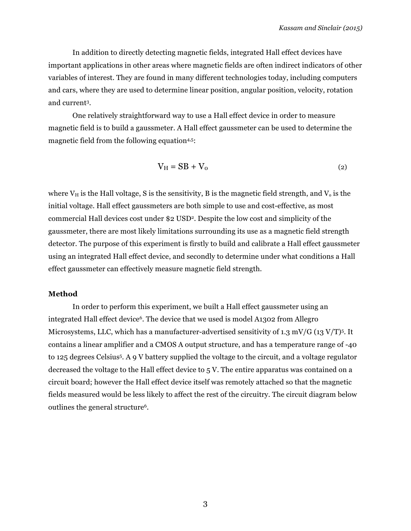In addition to directly detecting magnetic fields, integrated Hall effect devices have important applications in other areas where magnetic fields are often indirect indicators of other variables of interest. They are found in many different technologies today, including computers and cars, where they are used to determine linear position, angular position, velocity, rotation and current3.

One relatively straightforward way to use a Hall effect device in order to measure magnetic field is to build a gaussmeter. A Hall effect gaussmeter can be used to determine the magnetic field from the following equation<sup>4,5</sup>:

$$
V_H = SB + V_0 \tag{2}
$$

where  $V_H$  is the Hall voltage, S is the sensitivity, B is the magnetic field strength, and  $V_0$  is the initial voltage. Hall effect gaussmeters are both simple to use and cost-effective, as most commercial Hall devices cost under \$2 USD2. Despite the low cost and simplicity of the gaussmeter, there are most likely limitations surrounding its use as a magnetic field strength detector. The purpose of this experiment is firstly to build and calibrate a Hall effect gaussmeter using an integrated Hall effect device, and secondly to determine under what conditions a Hall effect gaussmeter can effectively measure magnetic field strength.

### **Method**

In order to perform this experiment, we built a Hall effect gaussmeter using an integrated Hall effect device<sup>6</sup>. The device that we used is model A1302 from Allegro Microsystems, LLC, which has a manufacturer-advertised sensitivity of 1.3 mV/G (13 V/T)5. It contains a linear amplifier and a CMOS A output structure, and has a temperature range of -40 to 125 degrees Celsius5. A 9 V battery supplied the voltage to the circuit, and a voltage regulator decreased the voltage to the Hall effect device to 5 V. The entire apparatus was contained on a circuit board; however the Hall effect device itself was remotely attached so that the magnetic fields measured would be less likely to affect the rest of the circuitry. The circuit diagram below outlines the general structure6.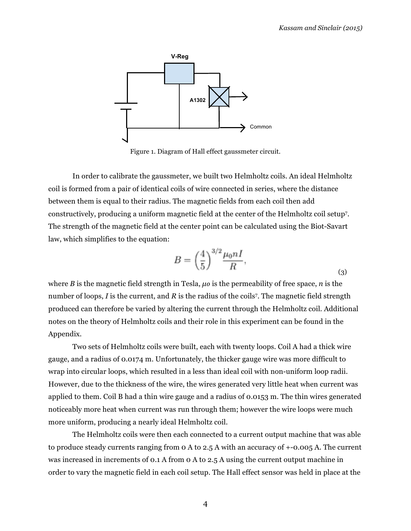

Figure 1. Diagram of Hall effect gaussmeter circuit.

In order to calibrate the gaussmeter, we built two Helmholtz coils. An ideal Helmholtz coil is formed from a pair of identical coils of wire connected in series, where the distance between them is equal to their radius. The magnetic fields from each coil then add constructively, producing a uniform magnetic field at the center of the Helmholtz coil setup7. The strength of the magnetic field at the center point can be calculated using the Biot-Savart law, which simplifies to the equation:

$$
B = \left(\frac{4}{5}\right)^{3/2} \frac{\mu_0 n I}{R},\tag{3}
$$

where *B* is the magnetic field strength in Tesla,  $\mu \circ$  is the permeability of free space, *n* is the number of loops, *I* is the current, and *R* is the radius of the coils<sup>7</sup>. The magnetic field strength produced can therefore be varied by altering the current through the Helmholtz coil. Additional notes on the theory of Helmholtz coils and their role in this experiment can be found in the Appendix.

Two sets of Helmholtz coils were built, each with twenty loops. Coil A had a thick wire gauge, and a radius of 0.0174 m. Unfortunately, the thicker gauge wire was more difficult to wrap into circular loops, which resulted in a less than ideal coil with non-uniform loop radii. However, due to the thickness of the wire, the wires generated very little heat when current was applied to them. Coil B had a thin wire gauge and a radius of 0.0153 m. The thin wires generated noticeably more heat when current was run through them; however the wire loops were much more uniform, producing a nearly ideal Helmholtz coil.

The Helmholtz coils were then each connected to a current output machine that was able to produce steady currents ranging from 0 A to 2.5 A with an accuracy of +-0.005 A. The current was increased in increments of 0.1 A from 0 A to 2.5 A using the current output machine in order to vary the magnetic field in each coil setup. The Hall effect sensor was held in place at the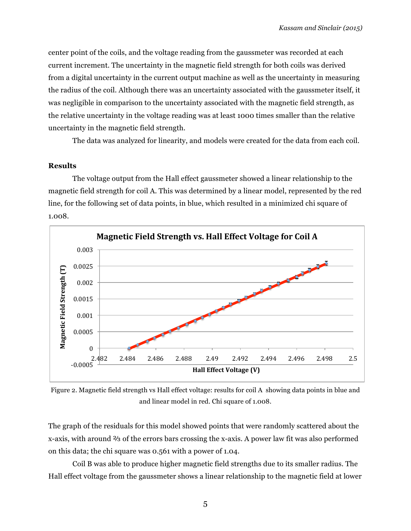center point of the coils, and the voltage reading from the gaussmeter was recorded at each current increment. The uncertainty in the magnetic field strength for both coils was derived from a digital uncertainty in the current output machine as well as the uncertainty in measuring the radius of the coil. Although there was an uncertainty associated with the gaussmeter itself, it was negligible in comparison to the uncertainty associated with the magnetic field strength, as the relative uncertainty in the voltage reading was at least 1000 times smaller than the relative uncertainty in the magnetic field strength.

The data was analyzed for linearity, and models were created for the data from each coil.

## **Results**

The voltage output from the Hall effect gaussmeter showed a linear relationship to the magnetic field strength for coil A. This was determined by a linear model, represented by the red line, for the following set of data points, in blue, which resulted in a minimized chi square of 1.008.



Figure 2. Magnetic field strength vs Hall effect voltage: results for coil A showing data points in blue and and linear model in red. Chi square of 1.008.

The graph of the residuals for this model showed points that were randomly scattered about the x-axis, with around ⅔ of the errors bars crossing the x-axis. A power law fit was also performed on this data; the chi square was 0.561 with a power of 1.04.

Coil B was able to produce higher magnetic field strengths due to its smaller radius. The Hall effect voltage from the gaussmeter shows a linear relationship to the magnetic field at lower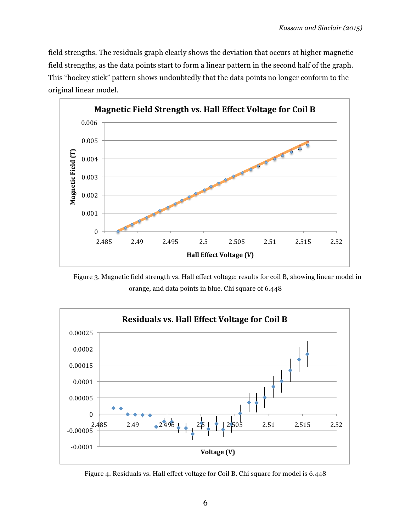field strengths. The residuals graph clearly shows the deviation that occurs at higher magnetic field strengths, as the data points start to form a linear pattern in the second half of the graph. This "hockey stick" pattern shows undoubtedly that the data points no longer conform to the original linear model.



Figure 3. Magnetic field strength vs. Hall effect voltage: results for coil B, showing linear model in orange, and data points in blue. Chi square of 6.448



Figure 4. Residuals vs. Hall effect voltage for Coil B. Chi square for model is 6.448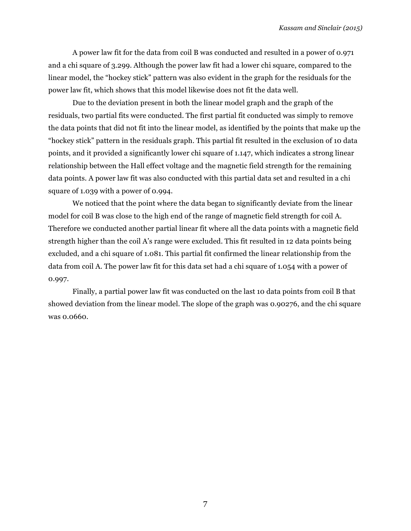A power law fit for the data from coil B was conducted and resulted in a power of 0.971 and a chi square of 3.299. Although the power law fit had a lower chi square, compared to the linear model, the "hockey stick" pattern was also evident in the graph for the residuals for the power law fit, which shows that this model likewise does not fit the data well.

Due to the deviation present in both the linear model graph and the graph of the residuals, two partial fits were conducted. The first partial fit conducted was simply to remove the data points that did not fit into the linear model, as identified by the points that make up the "hockey stick" pattern in the residuals graph. This partial fit resulted in the exclusion of 10 data points, and it provided a significantly lower chi square of 1.147, which indicates a strong linear relationship between the Hall effect voltage and the magnetic field strength for the remaining data points. A power law fit was also conducted with this partial data set and resulted in a chi square of 1.039 with a power of 0.994.

We noticed that the point where the data began to significantly deviate from the linear model for coil B was close to the high end of the range of magnetic field strength for coil A. Therefore we conducted another partial linear fit where all the data points with a magnetic field strength higher than the coil A's range were excluded. This fit resulted in 12 data points being excluded, and a chi square of 1.081. This partial fit confirmed the linear relationship from the data from coil A. The power law fit for this data set had a chi square of 1.054 with a power of 0.997.

Finally, a partial power law fit was conducted on the last 10 data points from coil B that showed deviation from the linear model. The slope of the graph was 0.90276, and the chi square was 0.0660.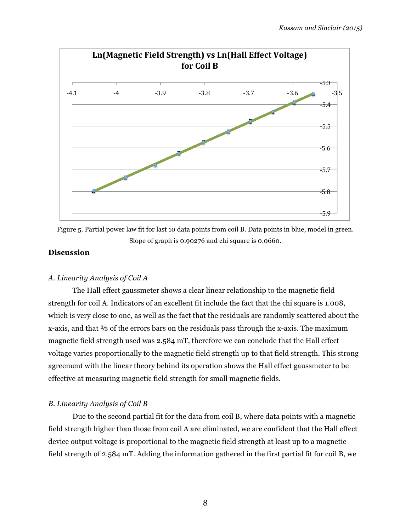



# **Discussion**

# *A. Linearity Analysis of Coil A*

The Hall effect gaussmeter shows a clear linear relationship to the magnetic field strength for coil A. Indicators of an excellent fit include the fact that the chi square is 1.008, which is very close to one, as well as the fact that the residuals are randomly scattered about the x-axis, and that ⅔ of the errors bars on the residuals pass through the x-axis. The maximum magnetic field strength used was 2.584 mT, therefore we can conclude that the Hall effect voltage varies proportionally to the magnetic field strength up to that field strength. This strong agreement with the linear theory behind its operation shows the Hall effect gaussmeter to be effective at measuring magnetic field strength for small magnetic fields.

# *B. Linearity Analysis of Coil B*

Due to the second partial fit for the data from coil B, where data points with a magnetic field strength higher than those from coil A are eliminated, we are confident that the Hall effect device output voltage is proportional to the magnetic field strength at least up to a magnetic field strength of 2.584 mT. Adding the information gathered in the first partial fit for coil B, we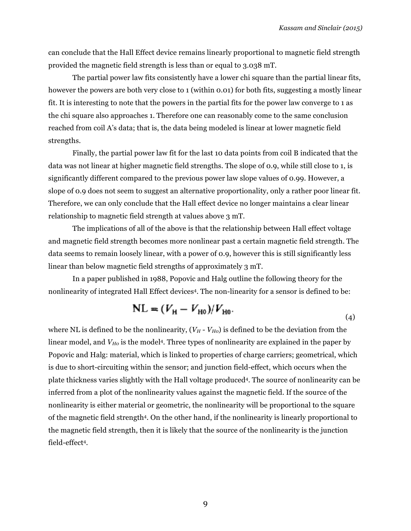can conclude that the Hall Effect device remains linearly proportional to magnetic field strength provided the magnetic field strength is less than or equal to 3.038 mT.

The partial power law fits consistently have a lower chi square than the partial linear fits, however the powers are both very close to 1 (within 0.01) for both fits, suggesting a mostly linear fit. It is interesting to note that the powers in the partial fits for the power law converge to 1 as the chi square also approaches 1. Therefore one can reasonably come to the same conclusion reached from coil A's data; that is, the data being modeled is linear at lower magnetic field strengths.

Finally, the partial power law fit for the last 10 data points from coil B indicated that the data was not linear at higher magnetic field strengths. The slope of 0.9, while still close to 1, is significantly different compared to the previous power law slope values of 0.99. However, a slope of 0.9 does not seem to suggest an alternative proportionality, only a rather poor linear fit. Therefore, we can only conclude that the Hall effect device no longer maintains a clear linear relationship to magnetic field strength at values above 3 mT.

The implications of all of the above is that the relationship between Hall effect voltage and magnetic field strength becomes more nonlinear past a certain magnetic field strength. The data seems to remain loosely linear, with a power of 0.9, however this is still significantly less linear than below magnetic field strengths of approximately 3 mT.

In a paper published in 1988, Popovic and Halg outline the following theory for the nonlinearity of integrated Hall Effect devices<sup>4</sup>. The non-linearity for a sensor is defined to be:

$$
NL = (V_{H} - V_{H0})/V_{H0}.
$$
 (4)

where NL is defined to be the nonlinearity,  $(V_H - V_{HO})$  is defined to be the deviation from the linear model, and  $V_{H0}$  is the model<sup>4</sup>. Three types of nonlinearity are explained in the paper by Popovic and Halg: material, which is linked to properties of charge carriers; geometrical, which is due to short-circuiting within the sensor; and junction field-effect, which occurs when the plate thickness varies slightly with the Hall voltage produced4. The source of nonlinearity can be inferred from a plot of the nonlinearity values against the magnetic field. If the source of the nonlinearity is either material or geometric, the nonlinearity will be proportional to the square of the magnetic field strength4. On the other hand, if the nonlinearity is linearly proportional to the magnetic field strength, then it is likely that the source of the nonlinearity is the junction field-effect4.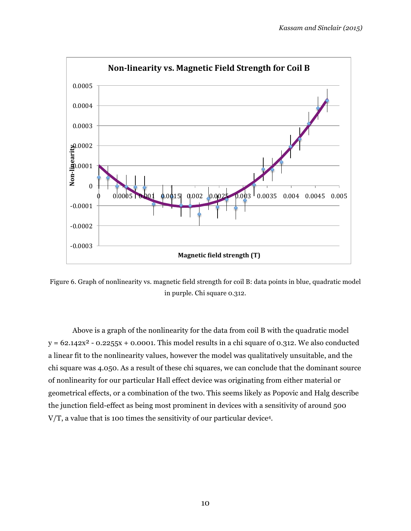

Figure 6. Graph of nonlinearity vs. magnetic field strength for coil B: data points in blue, quadratic model in purple. Chi square 0.312.

Above is a graph of the nonlinearity for the data from coil B with the quadratic model  $y = 62.142x^2 - 0.2255x + 0.0001$ . This model results in a chi square of 0.312. We also conducted a linear fit to the nonlinearity values, however the model was qualitatively unsuitable, and the chi square was 4.050. As a result of these chi squares, we can conclude that the dominant source of nonlinearity for our particular Hall effect device was originating from either material or geometrical effects, or a combination of the two. This seems likely as Popovic and Halg describe the junction field-effect as being most prominent in devices with a sensitivity of around 500 V/T, a value that is 100 times the sensitivity of our particular device4.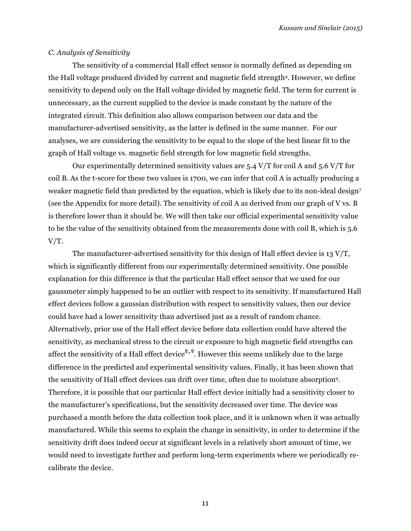## *C. Analysis of Sensitivity*

The sensitivity of a commercial Hall effect sensor is normally defined as depending on the Hall voltage produced divided by current and magnetic field strength<sup>4</sup>. However, we define sensitivity to depend only on the Hall voltage divided by magnetic field. The term for current is unnecessary, as the current supplied to the device is made constant by the nature of the integrated circuit. This definition also allows comparison between our data and the manufacturer-advertised sensitivity, as the latter is defined in the same manner. For our analyses, we are considering the sensitivity to be equal to the slope of the best linear fit to the graph of Hall voltage vs. magnetic field strength for low magnetic field strengths.

Our experimentally determined sensitivity values are  $5.4$  V/T for coil A and  $5.6$  V/T for coil B. As the t-score for these two values is 1700, we can infer that coil A is actually producing a weaker magnetic field than predicted by the equation, which is likely due to its non-ideal design<sup>7</sup> (see the Appendix for more detail). The sensitivity of coil A as derived from our graph of V vs. B is therefore lower than it should be. We will then take our official experimental sensitivity value to be the value of the sensitivity obtained from the measurements done with coil B, which is 5.6  $V/T$ .

The manufacturer-advertised sensitivity for this design of Hall effect device is 13 V/T, which is significantly different from our experimentally determined sensitivity. One possible explanation for this difference is that the particular Hall effect sensor that we used for our gaussmeter simply happened to be an outlier with respect to its sensitivity. If manufactured Hall effect devices follow a gaussian distribution with respect to sensitivity values, then our device could have had a lower sensitivity than advertised just as a result of random chance. Alternatively, prior use of the Hall effect device before data collection could have altered the sensitivity, as mechanical stress to the circuit or exposure to high magnetic field strengths can affect the sensitivity of a Hall effect device<sup>8,9</sup>. However this seems unlikely due to the large difference in the predicted and experimental sensitivity values. Finally, it has been shown that the sensitivity of Hall effect devices can drift over time, often due to moisture absorption9. Therefore, it is possible that our particular Hall effect device initially had a sensitivity closer to the manufacturer's specifications, but the sensitivity decreased over time. The device was purchased a month before the data collection took place, and it is unknown when it was actually manufactured. While this seems to explain the change in sensitivity, in order to determine if the sensitivity drift does indeed occur at significant levels in a relatively short amount of time, we would need to investigate further and perform long-term experiments where we periodically recalibrate the device.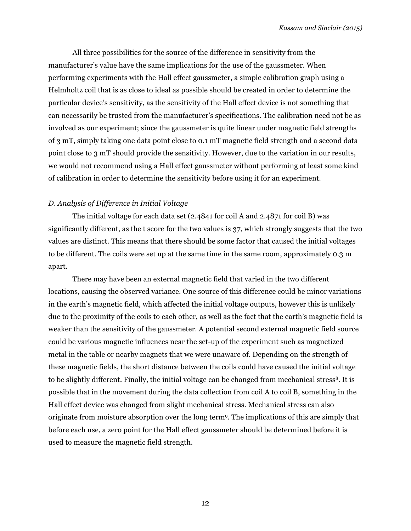All three possibilities for the source of the difference in sensitivity from the manufacturer's value have the same implications for the use of the gaussmeter. When performing experiments with the Hall effect gaussmeter, a simple calibration graph using a Helmholtz coil that is as close to ideal as possible should be created in order to determine the particular device's sensitivity, as the sensitivity of the Hall effect device is not something that can necessarily be trusted from the manufacturer's specifications. The calibration need not be as involved as our experiment; since the gaussmeter is quite linear under magnetic field strengths of 3 mT, simply taking one data point close to 0.1 mT magnetic field strength and a second data point close to 3 mT should provide the sensitivity. However, due to the variation in our results, we would not recommend using a Hall effect gaussmeter without performing at least some kind of calibration in order to determine the sensitivity before using it for an experiment.

## *D. Analysis of Difference in Initial Voltage*

The initial voltage for each data set (2.4841 for coil A and 2.4871 for coil B) was significantly different, as the t score for the two values is 37, which strongly suggests that the two values are distinct. This means that there should be some factor that caused the initial voltages to be different. The coils were set up at the same time in the same room, approximately 0.3 m apart.

There may have been an external magnetic field that varied in the two different locations, causing the observed variance. One source of this difference could be minor variations in the earth's magnetic field, which affected the initial voltage outputs, however this is unlikely due to the proximity of the coils to each other, as well as the fact that the earth's magnetic field is weaker than the sensitivity of the gaussmeter. A potential second external magnetic field source could be various magnetic influences near the set-up of the experiment such as magnetized metal in the table or nearby magnets that we were unaware of. Depending on the strength of these magnetic fields, the short distance between the coils could have caused the initial voltage to be slightly different. Finally, the initial voltage can be changed from mechanical stress<sup>8</sup>. It is possible that in the movement during the data collection from coil A to coil B, something in the Hall effect device was changed from slight mechanical stress. Mechanical stress can also originate from moisture absorption over the long term9. The implications of this are simply that before each use, a zero point for the Hall effect gaussmeter should be determined before it is used to measure the magnetic field strength.

12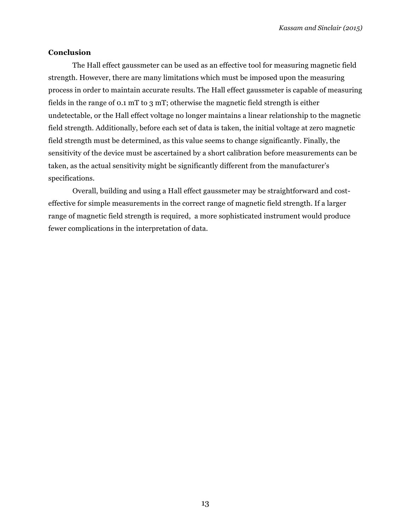## **Conclusion**

The Hall effect gaussmeter can be used as an effective tool for measuring magnetic field strength. However, there are many limitations which must be imposed upon the measuring process in order to maintain accurate results. The Hall effect gaussmeter is capable of measuring fields in the range of 0.1 mT to 3 mT; otherwise the magnetic field strength is either undetectable, or the Hall effect voltage no longer maintains a linear relationship to the magnetic field strength. Additionally, before each set of data is taken, the initial voltage at zero magnetic field strength must be determined, as this value seems to change significantly. Finally, the sensitivity of the device must be ascertained by a short calibration before measurements can be taken, as the actual sensitivity might be significantly different from the manufacturer's specifications.

Overall, building and using a Hall effect gaussmeter may be straightforward and costeffective for simple measurements in the correct range of magnetic field strength. If a larger range of magnetic field strength is required, a more sophisticated instrument would produce fewer complications in the interpretation of data.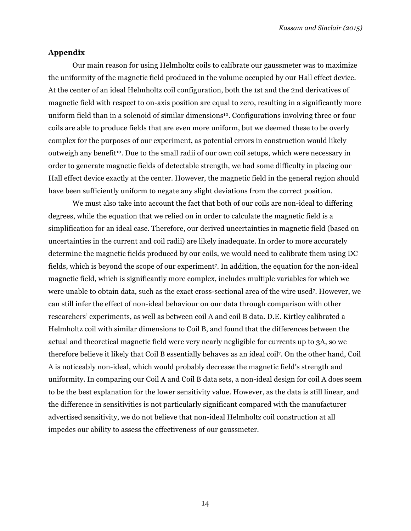## **Appendix**

Our main reason for using Helmholtz coils to calibrate our gaussmeter was to maximize the uniformity of the magnetic field produced in the volume occupied by our Hall effect device. At the center of an ideal Helmholtz coil configuration, both the 1st and the 2nd derivatives of magnetic field with respect to on-axis position are equal to zero, resulting in a significantly more uniform field than in a solenoid of similar dimensions10. Configurations involving three or four coils are able to produce fields that are even more uniform, but we deemed these to be overly complex for the purposes of our experiment, as potential errors in construction would likely outweigh any benefit10. Due to the small radii of our own coil setups, which were necessary in order to generate magnetic fields of detectable strength, we had some difficulty in placing our Hall effect device exactly at the center. However, the magnetic field in the general region should have been sufficiently uniform to negate any slight deviations from the correct position.

We must also take into account the fact that both of our coils are non-ideal to differing degrees, while the equation that we relied on in order to calculate the magnetic field is a simplification for an ideal case. Therefore, our derived uncertainties in magnetic field (based on uncertainties in the current and coil radii) are likely inadequate. In order to more accurately determine the magnetic fields produced by our coils, we would need to calibrate them using DC fields, which is beyond the scope of our experiment7. In addition, the equation for the non-ideal magnetic field, which is significantly more complex, includes multiple variables for which we were unable to obtain data, such as the exact cross-sectional area of the wire used7. However, we can still infer the effect of non-ideal behaviour on our data through comparison with other researchers' experiments, as well as between coil A and coil B data. D.E. Kirtley calibrated a Helmholtz coil with similar dimensions to Coil B, and found that the differences between the actual and theoretical magnetic field were very nearly negligible for currents up to 3A, so we therefore believe it likely that Coil B essentially behaves as an ideal coil7. On the other hand, Coil A is noticeably non-ideal, which would probably decrease the magnetic field's strength and uniformity. In comparing our Coil A and Coil B data sets, a non-ideal design for coil A does seem to be the best explanation for the lower sensitivity value. However, as the data is still linear, and the difference in sensitivities is not particularly significant compared with the manufacturer advertised sensitivity, we do not believe that non-ideal Helmholtz coil construction at all impedes our ability to assess the effectiveness of our gaussmeter.

14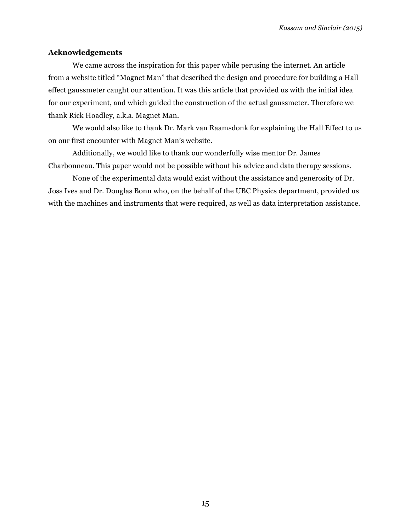## **Acknowledgements**

We came across the inspiration for this paper while perusing the internet. An article from a website titled "Magnet Man" that described the design and procedure for building a Hall effect gaussmeter caught our attention. It was this article that provided us with the initial idea for our experiment, and which guided the construction of the actual gaussmeter. Therefore we thank Rick Hoadley, a.k.a. Magnet Man.

We would also like to thank Dr. Mark van Raamsdonk for explaining the Hall Effect to us on our first encounter with Magnet Man's website.

Additionally, we would like to thank our wonderfully wise mentor Dr. James Charbonneau. This paper would not be possible without his advice and data therapy sessions.

None of the experimental data would exist without the assistance and generosity of Dr. Joss Ives and Dr. Douglas Bonn who, on the behalf of the UBC Physics department, provided us with the machines and instruments that were required, as well as data interpretation assistance.